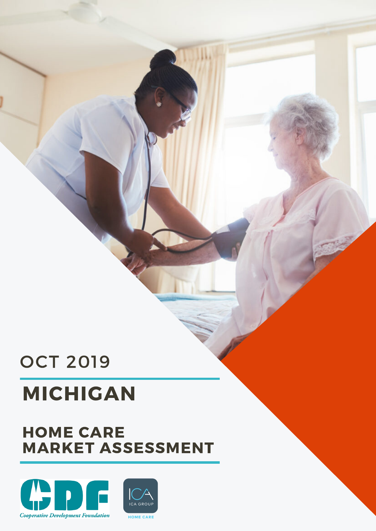## OCT 2019

# MICHIGAN

## HOME CARE MARKET ASSESSMENT

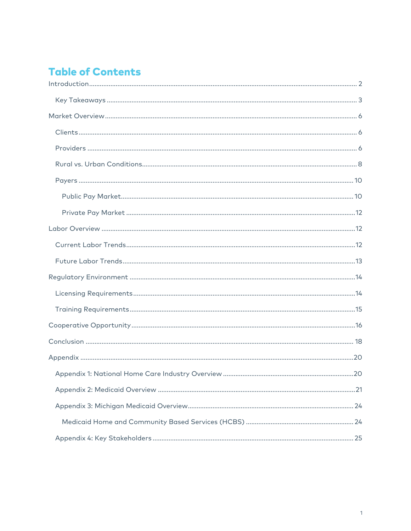## **Table of Contents**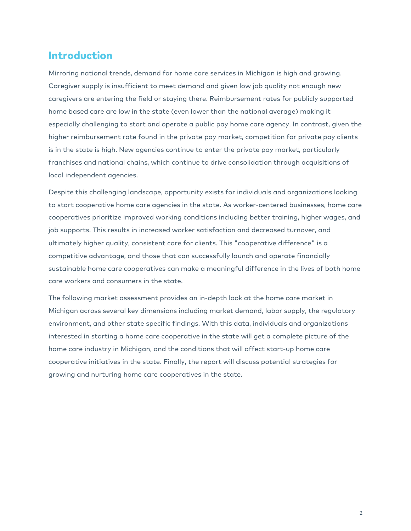#### Introduction

Mirroring national trends, demand for home care services in Michigan is high and growing. Caregiver supply is insufficient to meet demand and given low job quality not enough new caregivers are entering the field or staying there. Reimbursement rates for publicly supported home based care are low in the state (even lower than the national average) making it especially challenging to start and operate a public pay home care agency. In contrast, given the higher reimbursement rate found in the private pay market, competition for private pay clients is in the state is high. New agencies continue to enter the private pay market, particularly franchises and national chains, which continue to drive consolidation through acquisitions of local independent agencies.

Despite this challenging landscape, opportunity exists for individuals and organizations looking to start cooperative home care agencies in the state. As worker-centered businesses, home care cooperatives prioritize improved working conditions including better training, higher wages, and job supports. This results in increased worker satisfaction and decreased turnover, and ultimately higher quality, consistent care for clients. This "cooperative difference" is a competitive advantage, and those that can successfully launch and operate financially sustainable home care cooperatives can make a meaningful difference in the lives of both home care workers and consumers in the state.

The following market assessment provides an in-depth look at the home care market in Michigan across several key dimensions including market demand, labor supply, the regulatory environment, and other state specific findings. With this data, individuals and organizations interested in starting a home care cooperative in the state will get a complete picture of the home care industry in Michigan, and the conditions that will affect start-up home care cooperative initiatives in the state. Finally, the report will discuss potential strategies for growing and nurturing home care cooperatives in the state.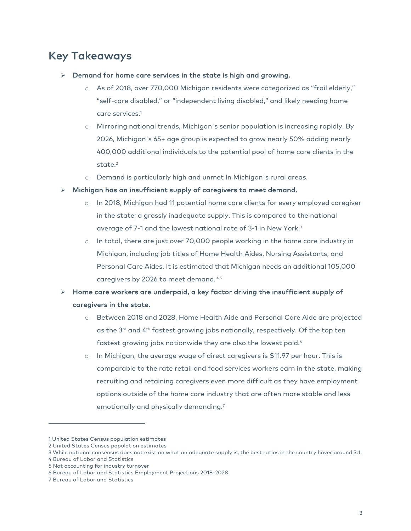## Key Takeaways

- $\triangleright$  Demand for home care services in the state is high and growing.
	- o As of 2018, over 770,000 Michigan residents were categorized as "frail elderly," "self-care disabled," or "independent living disabled," and likely needing home care services.1
	- o Mirroring national trends, Michigan's senior population is increasing rapidly. By 2026, Michigan's 65+ age group is expected to grow nearly 50% adding nearly 400,000 additional individuals to the potential pool of home care clients in the state. $2$
	- o Demand is particularly high and unmet In Michigan's rural areas.
- $\triangleright$  Michigan has an insufficient supply of caregivers to meet demand.
	- o In 2018, Michigan had 11 potential home care clients for every employed caregiver in the state; a grossly inadequate supply. This is compared to the national average of 7-1 and the lowest national rate of 3-1 in New York. 3
	- o In total, there are just over 70,000 people working in the home care industry in Michigan, including job titles of Home Health Aides, Nursing Assistants, and Personal Care Aides. It is estimated that Michigan needs an additional 105,000 caregivers by 2026 to meet demand. 4,5

#### $\triangleright$  Home care workers are underpaid, a key factor driving the insufficient supply of caregivers in the state.

- o Between 2018 and 2028, Home Health Aide and Personal Care Aide are projected as the 3<sup>rd</sup> and 4<sup>th</sup> fastest growing jobs nationally, respectively. Of the top ten fastest growing jobs nationwide they are also the lowest paid.<sup>6</sup>
- o In Michigan, the average wage of direct caregivers is \$11.97 per hour. This is comparable to the rate retail and food services workers earn in the state, making recruiting and retaining caregivers even more difficult as they have employment options outside of the home care industry that are often more stable and less emotionally and physically demanding.<sup>7</sup>

<sup>1</sup> United States Census population estimates

<sup>2</sup> United States Census population estimates

<sup>3</sup> While national consensus does not exist on what an adequate supply is, the best ratios in the country hover around 3:1.

<sup>4</sup> Bureau of Labor and Statistics

<sup>5</sup> Not accounting for industry turnover

<sup>6</sup> Bureau of Labor and Statistics Employment Projections 2018-2028

<sup>7</sup> Bureau of Labor and Statistics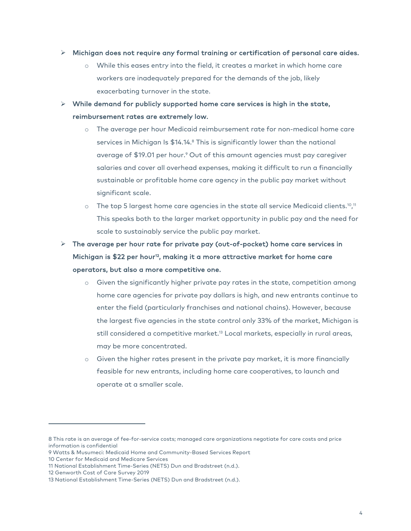#### $\triangleright$  Michigan does not require any formal training or certification of personal care aides.

- o While this eases entry into the field, it creates a market in which home care workers are inadequately prepared for the demands of the job, likely exacerbating turnover in the state.
- $\triangleright$  While demand for publicly supported home care services is high in the state, reimbursement rates are extremely low.
	- o The average per hour Medicaid reimbursement rate for non-medical home care services in Michigan Is \$14.14.<sup>8</sup> This is significantly lower than the national average of \$19.01 per hour. <sup>9</sup> Out of this amount agencies must pay caregiver salaries and cover all overhead expenses, making it difficult to run a financially sustainable or profitable home care agency in the public pay market without significant scale.
	- $\circ$  The top 5 largest home care agencies in the state all service Medicaid clients.10,11 This speaks both to the larger market opportunity in public pay and the need for scale to sustainably service the public pay market.
- $\triangleright$  The average per hour rate for private pay (out-of-pocket) home care services in Michigan is \$22 per hour<sup>12</sup>, making it a more attractive market for home care operators, but also a more competitive one.
	- o Given the significantly higher private pay rates in the state, competition among home care agencies for private pay dollars is high, and new entrants continue to enter the field (particularly franchises and national chains). However, because the largest five agencies in the state control only 33% of the market, Michigan is still considered a competitive market. <sup>13</sup> Local markets, especially in rural areas, may be more concentrated.
	- o Given the higher rates present in the private pay market, it is more financially feasible for new entrants, including home care cooperatives, to launch and operate at a smaller scale.

<sup>8</sup> This rate is an average of fee-for-service costs; managed care organizations negotiate for care costs and price information is confidential

<sup>9</sup> Watts & Musumeci: Medicaid Home and Community-Based Services Report

<sup>10</sup> Center for Medicaid and Medicare Services

<sup>11</sup> National Establishment Time-Series (NETS) Dun and Bradstreet (n.d.).

<sup>12</sup> Genworth Cost of Care Survey 2019

<sup>13</sup> National Establishment Time-Series (NETS) Dun and Bradstreet (n.d.).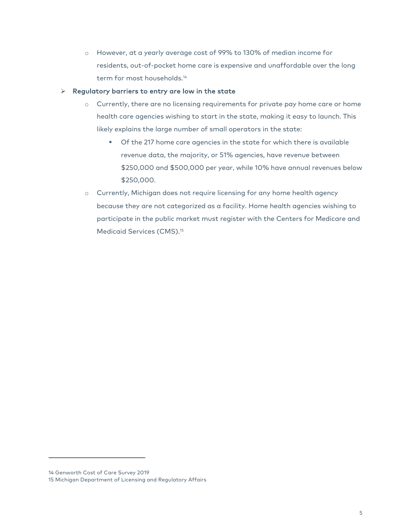o However, at a yearly average cost of 99% to 130% of median income for residents, out-of-pocket home care is expensive and unaffordable over the long term for most households.<sup>14</sup>

#### $\triangleright$  Regulatory barriers to entry are low in the state

- o Currently, there are no licensing requirements for private pay home care or home health care agencies wishing to start in the state, making it easy to launch. This likely explains the large number of small operators in the state:
	- Of the 217 home care agencies in the state for which there is available revenue data, the majority, or 51% agencies, have revenue between \$250,000 and \$500,000 per year, while 10% have annual revenues below \$250,000.
- o Currently, Michigan does not require licensing for any home health agency because they are not categorized as a facility. Home health agencies wishing to participate in the public market must register with the Centers for Medicare and Medicaid Services (CMS).<sup>15</sup>

<sup>14</sup> Genworth Cost of Care Survey 2019

<sup>15</sup> Michigan Department of Licensing and Regulatory Affairs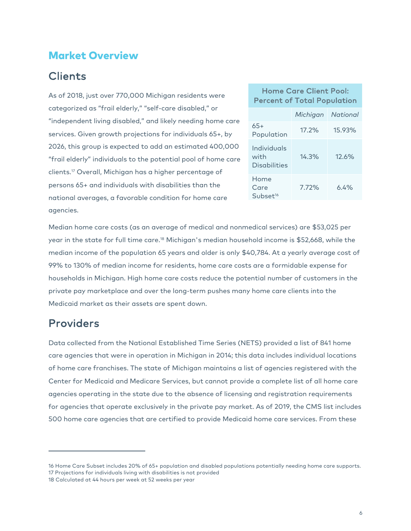#### Market Overview

## Clients

As of 2018, just over 770,000 Michigan residents were categorized as "frail elderly," "self-care disabled," or "independent living disabled," and likely needing home care services. Given growth projections for individuals 65+, by 2026, this group is expected to add an estimated 400,000 "frail elderly" individuals to the potential pool of home care clients.17 Overall, Michigan has a higher percentage of persons 65+ and individuals with disabilities than the national averages, a favorable condition for home care agencies.

#### Home Care Client Pool: Percent of Total Population

|                                      | Michigan | National |
|--------------------------------------|----------|----------|
| $65+$<br>Population                  | $17.2\%$ | 15.93%   |
| Individuals<br>with<br>Disabilities  | 14.3%    | 12.6%    |
| Home<br>Care<br>Subset <sup>16</sup> | 7.72%    | $6.4\%$  |

Median home care costs (as an average of medical and nonmedical services) are \$53,025 per year in the state for full time care.18 Michigan's median household income is \$52,668, while the median income of the population 65 years and older is only \$40,784. At a yearly average cost of 99% to 130% of median income for residents, home care costs are a formidable expense for households in Michigan. High home care costs reduce the potential number of customers in the private pay marketplace and over the long-term pushes many home care clients into the Medicaid market as their assets are spent down.

#### Providers

Data collected from the National Established Time Series (NETS) provided a list of 841 home care agencies that were in operation in Michigan in 2014; this data includes individual locations of home care franchises. The state of Michigan maintains a list of agencies registered with the Center for Medicaid and Medicare Services, but cannot provide a complete list of all home care agencies operating in the state due to the absence of licensing and registration requirements for agencies that operate exclusively in the private pay market. As of 2019, the CMS list includes 500 home care agencies that are certified to provide Medicaid home care services. From these

<sup>16</sup> Home Care Subset includes 20% of 65+ population and disabled populations potentially needing home care supports. 17 Projections for individuals living with disabilities is not provided

<sup>18</sup> Calculated at 44 hours per week at 52 weeks per year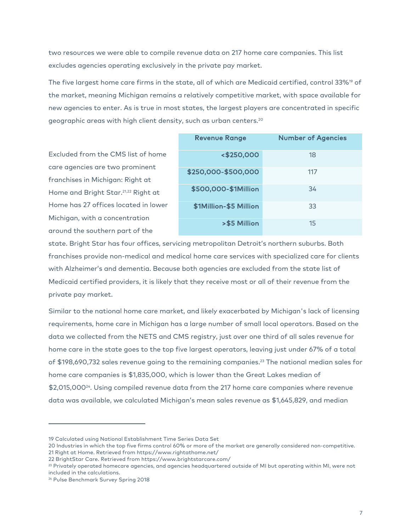two resources we were able to compile revenue data on 217 home care companies. This list excludes agencies operating exclusively in the private pay market.

The five largest home care firms in the state, all of which are Medicaid certified, control 33%<sup>19</sup> of the market, meaning Michigan remains a relatively competitive market, with space available for new agencies to enter. As is true in most states, the largest players are concentrated in specific geographic areas with high client density, such as urban centers.20

Excluded from the CMS list of home care agencies are two prominent franchises in Michigan: Right at Home and Bright Star.21,22 Right at Home has 27 offices located in lower Michigan, with a concentration around the southern part of the

| <b>Revenue Range</b>   | <b>Number of Agencies</b> |
|------------------------|---------------------------|
| <\$250,000             | 18                        |
| \$250,000-\$500,000    | 117                       |
| \$500,000-\$1Million   | 34                        |
| \$1Million-\$5 Million | 33                        |
| >\$5 Million           | 15                        |

state. Bright Star has four offices, servicing metropolitan Detroit's northern suburbs. Both franchises provide non-medical and medical home care services with specialized care for clients with Alzheimer's and dementia. Because both agencies are excluded from the state list of Medicaid certified providers, it is likely that they receive most or all of their revenue from the private pay market.

Similar to the national home care market, and likely exacerbated by Michigan's lack of licensing requirements, home care in Michigan has a large number of small local operators. Based on the data we collected from the NETS and CMS registry, just over one third of all sales revenue for home care in the state goes to the top five largest operators, leaving just under 67% of a total of \$198,690,732 sales revenue going to the remaining companies.23 The national median sales for home care companies is \$1,835,000, which is lower than the Great Lakes median of \$2,015,00024. Using compiled revenue data from the 217 home care companies where revenue data was available, we calculated Michigan's mean sales revenue as \$1,645,829, and median

<sup>19</sup> Calculated using National Establishment Time Series Data Set

<sup>20</sup> Industries in which the top five firms control 60% or more of the market are generally considered non-competitive. 21 Right at Home. Retrieved from https://www.rightathome.net/

<sup>22</sup> BrightStar Care. Retrieved from https://www.brightstarcare.com/

 $23$  Privately operated homecare agencies, and agencies headquartered outside of MI but operating within MI, were not included in the calculations.

<sup>&</sup>lt;sup>24</sup> Pulse Benchmark Survey Spring 2018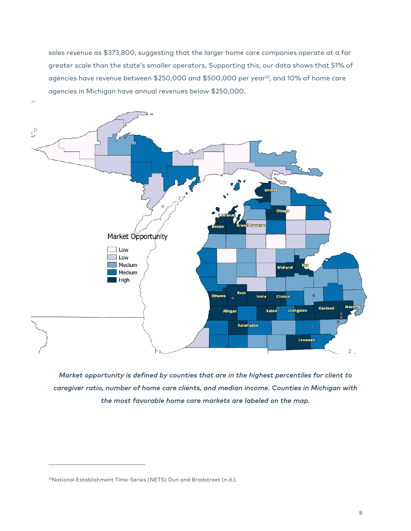sales revenue as \$373,800, suggesting that the larger home care companies operate at a far greater scale than the state's smaller operators. Supporting this, our data shows that 51% of agencies have revenue between \$250,000 and \$500,000 per year<sup>25</sup>, and 10% of home care agencies in Michigan have annual revenues below \$250,000.



*Market opportunity is defined by counties that are in the highest percentiles for client to caregiver ratio, number of home care clients, and median income. Counties in Michigan with the most favorable home care markets are labeled on the map.* 

<sup>&</sup>lt;sup>25</sup>National Establishment Time-Series (NETS) Dun and Bradstreet (n.d.).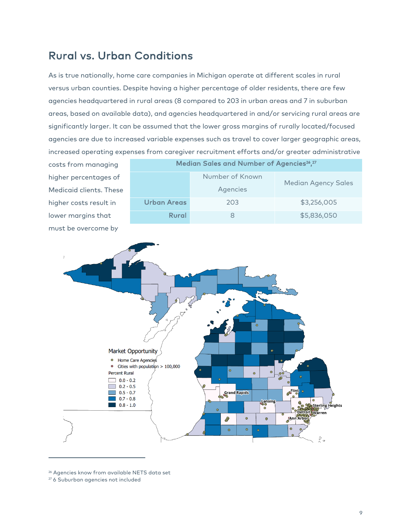## Rural vs. Urban Conditions

As is true nationally, home care companies in Michigan operate at different scales in rural versus urban counties. Despite having a higher percentage of older residents, there are few agencies headquartered in rural areas (8 compared to 203 in urban areas and 7 in suburban areas, based on available data), and agencies headquartered in and/or servicing rural areas are significantly larger. It can be assumed that the lower gross margins of rurally located/focused agencies are due to increased variable expenses such as travel to cover larger geographic areas, increased operating expenses from caregiver recruitment efforts and/or greater administrative

costs from managing higher percentages of Medicaid clients. These higher costs result in lower margins that must be overcome by

| Median Sales and Number of Agencies <sup>26</sup> , <sup>27</sup> |                             |                            |
|-------------------------------------------------------------------|-----------------------------|----------------------------|
|                                                                   | Number of Known<br>Agencies | <b>Median Agency Sales</b> |
| Urban Areas                                                       | 203                         | \$3,256,005                |
| Rural                                                             |                             | \$5,836,050                |



<sup>26</sup> Agencies know from available NETS data set

<sup>27</sup> 6 Suburban agencies not included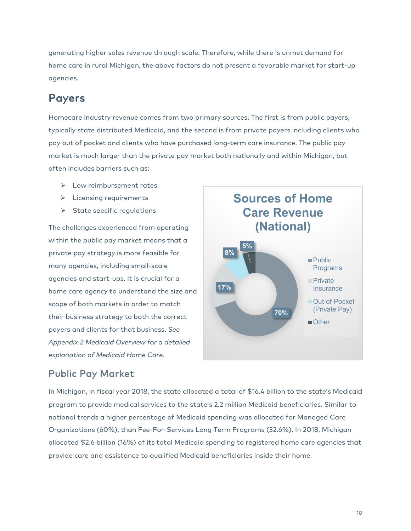generating higher sales revenue through scale. Therefore, while there is unmet demand for home care in rural Michigan, the above factors do not present a favorable market for start-up agencies.

#### Payers

Homecare industry revenue comes from two primary sources. The first is from public payers, typically state distributed Medicaid, and the second is from private payers including clients who pay out of pocket and clients who have purchased long-term care insurance. The public pay market is much larger than the private pay market both nationally and within Michigan, but often includes barriers such as:

- $\triangleright$  Low reimbursement rates
- $\triangleright$  Licensing requirements
- $\triangleright$  State specific regulations

The challenges experienced from operating within the public pay market means that a private pay strategy is more feasible for many agencies, including small-scale agencies and start-ups. It is crucial for a home care agency to understand the size and scope of both markets in order to match their business strategy to both the correct payers and clients for that business. *See Appendix 2 Medicaid Overview for a detailed explanation of Medicaid Home Care.* 



#### Public Pay Market

In Michigan, in fiscal year 2018, the state allocated a total of \$16.4 billion to the state's Medicaid program to provide medical services to the state's 2.2 million Medicaid beneficiaries. Similar to national trends a higher percentage of Medicaid spending was allocated for Managed Care Organizations (60%), than Fee-For-Services Long Term Programs (32.6%). In 2018, Michigan allocated \$2.6 billion (16%) of its total Medicaid spending to registered home care agencies that provide care and assistance to qualified Medicaid beneficiaries inside their home.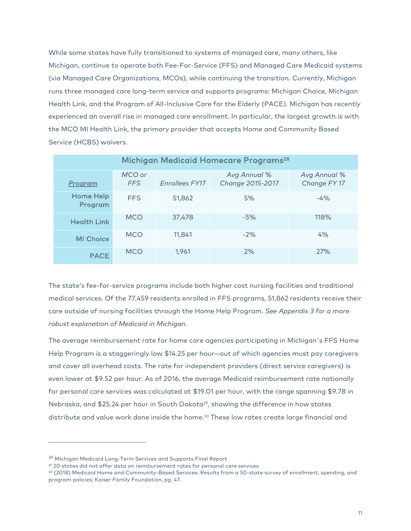While some states have fully transitioned to systems of managed care, many others, like Michigan, continue to operate both Fee-For-Service (FFS) and Managed Care Medicaid systems (via Managed Care Organizations, MCOs), while continuing the transition. Currently, Michigan runs three managed care long-term service and supports programs: Michigan Choice, Michigan Health Link, and the Program of All-Inclusive Care for the Elderly (PACE). Michigan has recently experienced an overall rise in managed care enrollment. In particular, the largest growth is with the MCO MI Health Link, the primary provider that accepts Home and Community Based Service (HCBS) waivers.

| Michigan Medicaid Homecare Programs <sup>28</sup> |                      |                |                                  |                              |
|---------------------------------------------------|----------------------|----------------|----------------------------------|------------------------------|
| Program                                           | MCO or<br><b>FFS</b> | Enrollees FY17 | Avg Annual %<br>Change 2015-2017 | Avg Annual %<br>Change FY 17 |
| <b>Home Help</b><br>Program                       | <b>FFS</b>           | 51,862         | 5%                               | $-4\%$                       |
| <b>Health Link</b>                                | <b>MCO</b>           | 37,478         | $-5%$                            | 118%                         |
| <b>MI Choice</b>                                  | <b>MCO</b>           | 11,841         | $-2\%$                           | 4%                           |
| <b>PACE</b>                                       | <b>MCO</b>           | 1,961          | 2%                               | 27%                          |

The state's fee-for-service programs include both higher cost nursing facilities and traditional medical services. Of the 77,459 residents enrolled in FFS programs, 51,862 residents receive their care outside of nursing facilities through the Home Help Program. *See Appendix 3 for a more robust explanation of Medicaid in Michigan.*

The average reimbursement rate for home care agencies participating in Michigan's FFS Home Help Program is a staggeringly low \$14.25 per hour—out of which agencies must pay caregivers and cover all overhead costs. The rate for independent providers (direct service caregivers) is even lower at \$9.52 per hour. As of 2016, the average Medicaid reimbursement rate nationally for personal care services was calculated at \$19.01 per hour, with the range spanning \$9.78 in Nebraska, and \$25.24 per hour in South Dakota<sup>29</sup>, showing the difference in how states distribute and value work done inside the home.<sup>30</sup> These low rates create large financial and

<sup>28</sup> Michigan Medicaid Long-Term Services and Supports Final Report

<sup>&</sup>lt;sup>29</sup> 20 states did not offer data on reimbursement rates for personal care services

<sup>30</sup> (2018) Medicaid Home and Community-Based Services: Results from a 50-state survey of enrollment, spending, and program policies; Kaiser Family Foundation, pg. 47.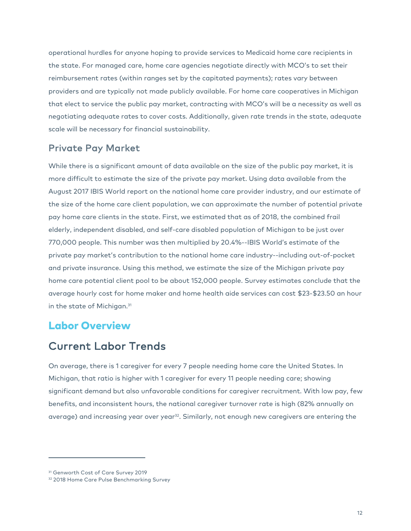operational hurdles for anyone hoping to provide services to Medicaid home care recipients in the state. For managed care, home care agencies negotiate directly with MCO's to set their reimbursement rates (within ranges set by the capitated payments); rates vary between providers and are typically not made publicly available. For home care cooperatives in Michigan that elect to service the public pay market, contracting with MCO's will be a necessity as well as negotiating adequate rates to cover costs. Additionally, given rate trends in the state, adequate scale will be necessary for financial sustainability.

#### Private Pay Market

While there is a significant amount of data available on the size of the public pay market, it is more difficult to estimate the size of the private pay market. Using data available from the August 2017 IBIS World report on the national home care provider industry, and our estimate of the size of the home care client population, we can approximate the number of potential private pay home care clients in the state. First, we estimated that as of 2018, the combined frail elderly, independent disabled, and self-care disabled population of Michigan to be just over 770,000 people. This number was then multiplied by 20.4%--IBIS World's estimate of the private pay market's contribution to the national home care industry--including out-of-pocket and private insurance. Using this method, we estimate the size of the Michigan private pay home care potential client pool to be about 152,000 people. Survey estimates conclude that the average hourly cost for home maker and home health aide services can cost \$23-\$23.50 an hour in the state of Michigan.<sup>31</sup>

#### Labor Overview

#### Current Labor Trends

On average, there is 1 caregiver for every 7 people needing home care the United States. In Michigan, that ratio is higher with 1 caregiver for every 11 people needing care; showing significant demand but also unfavorable conditions for caregiver recruitment. With low pay, few benefits, and inconsistent hours, the national caregiver turnover rate is high (82% annually on average) and increasing year over year<sup>32</sup>. Similarly, not enough new caregivers are entering the

<sup>&</sup>lt;sup>31</sup> Genworth Cost of Care Survey 2019

<sup>&</sup>lt;sup>32</sup> 2018 Home Care Pulse Benchmarking Survey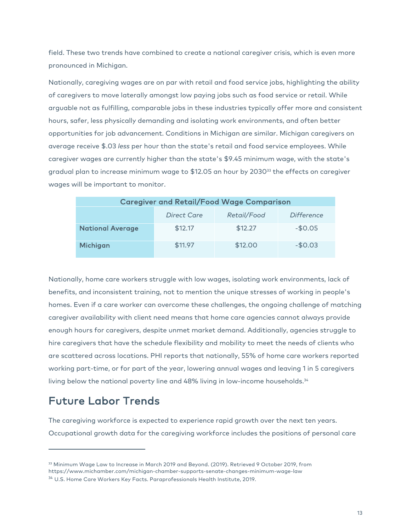field. These two trends have combined to create a national caregiver crisis, which is even more pronounced in Michigan.

Nationally, caregiving wages are on par with retail and food service jobs, highlighting the ability of caregivers to move laterally amongst low paying jobs such as food service or retail. While arguable not as fulfilling, comparable jobs in these industries typically offer more and consistent hours, safer, less physically demanding and isolating work environments, and often better opportunities for job advancement. Conditions in Michigan are similar. Michigan caregivers on average receive \$.03 *less* per hour than the state's retail and food service employees. While caregiver wages are currently higher than the state's \$9.45 minimum wage, with the state's gradual plan to increase minimum wage to \$12.05 an hour by  $2030^{33}$  the effects on caregiver wages will be important to monitor.

| <b>Caregiver and Retail/Food Wage Comparison</b> |             |             |            |
|--------------------------------------------------|-------------|-------------|------------|
|                                                  | Direct Care | Retail/Food | Difference |
| <b>National Average</b>                          | \$12.17     | \$12.27     | $-$0.05$   |
| Michigan                                         | \$11.97     | \$12.00     | $-$0.03$   |

Nationally, home care workers struggle with low wages, isolating work environments, lack of benefits, and inconsistent training, not to mention the unique stresses of working in people's homes. Even if a care worker can overcome these challenges, the ongoing challenge of matching caregiver availability with client need means that home care agencies cannot always provide enough hours for caregivers, despite unmet market demand. Additionally, agencies struggle to hire caregivers that have the schedule flexibility and mobility to meet the needs of clients who are scattered across locations. PHI reports that nationally, 55% of home care workers reported working part-time, or for part of the year, lowering annual wages and leaving 1 in 5 caregivers living below the national poverty line and 48% living in low-income households. 34

#### Future Labor Trends

The caregiving workforce is expected to experience rapid growth over the next ten years. Occupational growth data for the caregiving workforce includes the positions of personal care

<sup>33</sup> Minimum Wage Law to Increase in March 2019 and Beyond. (2019). Retrieved 9 October 2019, from https://www.michamber.com/michigan-chamber-supports-senate-changes-minimum-wage-law <sup>34</sup> U.S. Home Care Workers Key Facts. Paraprofessionals Health Institute, 2019.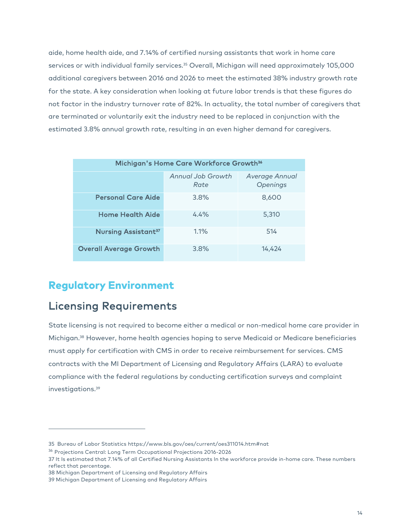aide, home health aide, and 7.14% of certified nursing assistants that work in home care services or with individual family services.<sup>35</sup> Overall, Michigan will need approximately 105,000 additional caregivers between 2016 and 2026 to meet the estimated 38% industry growth rate for the state. A key consideration when looking at future labor trends is that these figures do not factor in the industry turnover rate of 82%. In actuality, the total number of caregivers that are terminated or voluntarily exit the industry need to be replaced in conjunction with the estimated 3.8% annual growth rate, resulting in an even higher demand for caregivers.

| Michigan's Home Care Workforce Growth <sup>36</sup> |                           |                            |  |
|-----------------------------------------------------|---------------------------|----------------------------|--|
|                                                     | Annual Job Growth<br>Rate | Average Annual<br>Openings |  |
| <b>Personal Care Aide</b>                           | 3.8%                      | 8,600                      |  |
| <b>Home Health Aide</b>                             | 4.4%                      | 5,310                      |  |
| <b>Nursing Assistant<sup>37</sup></b>               | 1.1%                      | 514                        |  |
| <b>Overall Average Growth</b>                       | 3.8%                      | 14,424                     |  |

#### Regulatory Environment

### Licensing Requirements

State licensing is not required to become either a medical or non-medical home care provider in Michigan. <sup>38</sup> However, home health agencies hoping to serve Medicaid or Medicare beneficiaries must apply for certification with CMS in order to receive reimbursement for services. CMS contracts with the MI Department of Licensing and Regulatory Affairs (LARA) to evaluate compliance with the federal regulations by conducting certification surveys and complaint investigations.39

<sup>35</sup> Bureau of Labor Statistics https://www.bls.gov/oes/current/oes311014.htm#nat

<sup>36</sup> Projections Central: Long Term Occupational Projections 2016-2026

<sup>37</sup> It Is estimated that 7.14% of all Certified Nursing Assistants In the workforce provide in-home care. These numbers reflect that percentage.

<sup>38</sup> Michigan Department of Licensing and Regulatory Affairs

<sup>39</sup> Michigan Department of Licensing and Regulatory Affairs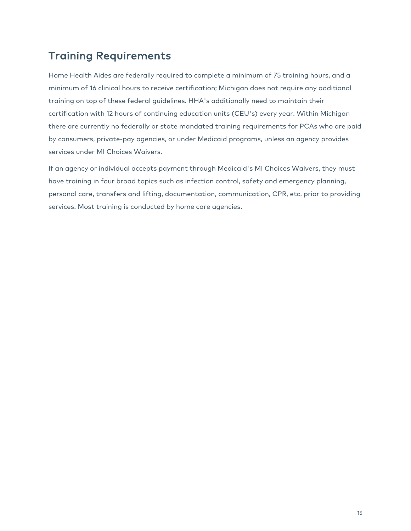## Training Requirements

Home Health Aides are federally required to complete a minimum of 75 training hours, and a minimum of 16 clinical hours to receive certification; Michigan does not require any additional training on top of these federal guidelines. HHA's additionally need to maintain their certification with 12 hours of continuing education units (CEU's) every year. Within Michigan there are currently no federally or state mandated training requirements for PCAs who are paid by consumers, private-pay agencies, or under Medicaid programs, unless an agency provides services under MI Choices Waivers.

If an agency or individual accepts payment through Medicaid's MI Choices Waivers, they must have training in four broad topics such as infection control, safety and emergency planning, personal care, transfers and lifting, documentation, communication, CPR, etc. prior to providing services. Most training is conducted by home care agencies.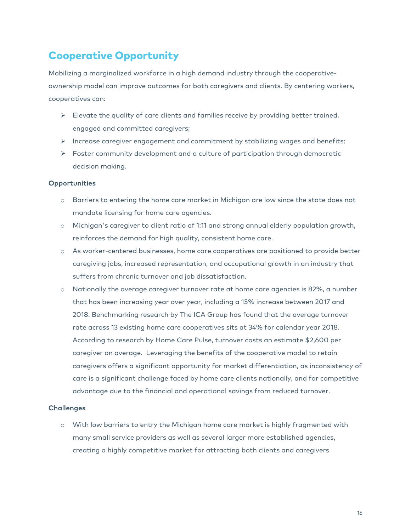## Cooperative Opportunity

Mobilizing a marginalized workforce in a high demand industry through the cooperativeownership model can improve outcomes for both caregivers and clients. By centering workers, cooperatives can:

- $\triangleright$  Elevate the quality of care clients and families receive by providing better trained, engaged and committed caregivers;
- $\triangleright$  Increase caregiver engagement and commitment by stabilizing wages and benefits;
- $\triangleright$  Foster community development and a culture of participation through democratic decision making.

#### Opportunities

- o Barriers to entering the home care market in Michigan are low since the state does not mandate licensing for home care agencies.
- o Michigan's caregiver to client ratio of 1:11 and strong annual elderly population growth, reinforces the demand for high quality, consistent home care.
- o As worker-centered businesses, home care cooperatives are positioned to provide better caregiving jobs, increased representation, and occupational growth in an industry that suffers from chronic turnover and job dissatisfaction.
- o Nationally the average caregiver turnover rate at home care agencies is 82%, a number that has been increasing year over year, including a 15% increase between 2017 and 2018. Benchmarking research by The ICA Group has found that the average turnover rate across 13 existing home care cooperatives sits at 34% for calendar year 2018. According to research by Home Care Pulse, turnover costs an estimate \$2,600 per caregiver on average. Leveraging the benefits of the cooperative model to retain caregivers offers a significant opportunity for market differentiation, as inconsistency of care is a significant challenge faced by home care clients nationally, and for competitive advantage due to the financial and operational savings from reduced turnover.

#### **Challenges**

o With low barriers to entry the Michigan home care market is highly fragmented with many small service providers as well as several larger more established agencies, creating a highly competitive market for attracting both clients and caregivers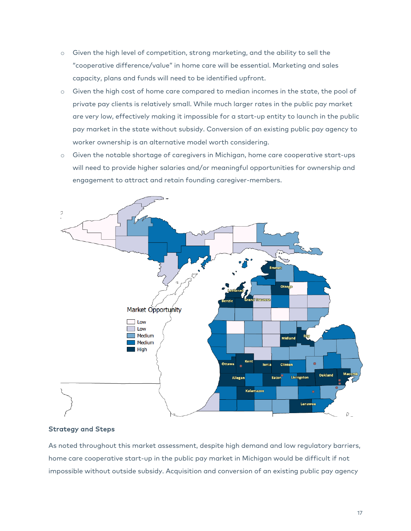- o Given the high level of competition, strong marketing, and the ability to sell the "cooperative difference/value" in home care will be essential. Marketing and sales capacity, plans and funds will need to be identified upfront.
- o Given the high cost of home care compared to median incomes in the state, the pool of private pay clients is relatively small. While much larger rates in the public pay market are very low, effectively making it impossible for a start-up entity to launch in the public pay market in the state without subsidy. Conversion of an existing public pay agency to worker ownership is an alternative model worth considering.
- o Given the notable shortage of caregivers in Michigan, home care cooperative start-ups will need to provide higher salaries and/or meaningful opportunities for ownership and engagement to attract and retain founding caregiver-members.



#### Strategy and Steps

As noted throughout this market assessment, despite high demand and low regulatory barriers, home care cooperative start-up in the public pay market in Michigan would be difficult if not impossible without outside subsidy. Acquisition and conversion of an existing public pay agency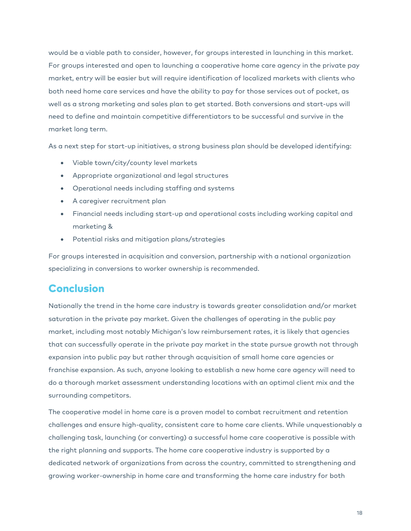would be a viable path to consider, however, for groups interested in launching in this market. For groups interested and open to launching a cooperative home care agency in the private pay market, entry will be easier but will require identification of localized markets with clients who both need home care services and have the ability to pay for those services out of pocket, as well as a strong marketing and sales plan to get started. Both conversions and start-ups will need to define and maintain competitive differentiators to be successful and survive in the market long term.

As a next step for start-up initiatives, a strong business plan should be developed identifying:

- Viable town/city/county level markets
- Appropriate organizational and legal structures
- Operational needs including staffing and systems
- A caregiver recruitment plan
- Financial needs including start-up and operational costs including working capital and marketing &
- Potential risks and mitigation plans/strategies

For groups interested in acquisition and conversion, partnership with a national organization specializing in conversions to worker ownership is recommended.

#### Conclusion

Nationally the trend in the home care industry is towards greater consolidation and/or market saturation in the private pay market. Given the challenges of operating in the public pay market, including most notably Michigan's low reimbursement rates, it is likely that agencies that can successfully operate in the private pay market in the state pursue growth not through expansion into public pay but rather through acquisition of small home care agencies or franchise expansion. As such, anyone looking to establish a new home care agency will need to do a thorough market assessment understanding locations with an optimal client mix and the surrounding competitors.

The cooperative model in home care is a proven model to combat recruitment and retention challenges and ensure high-quality, consistent care to home care clients. While unquestionably a challenging task, launching (or converting) a successful home care cooperative is possible with the right planning and supports. The home care cooperative industry is supported by a dedicated network of organizations from across the country, committed to strengthening and growing worker-ownership in home care and transforming the home care industry for both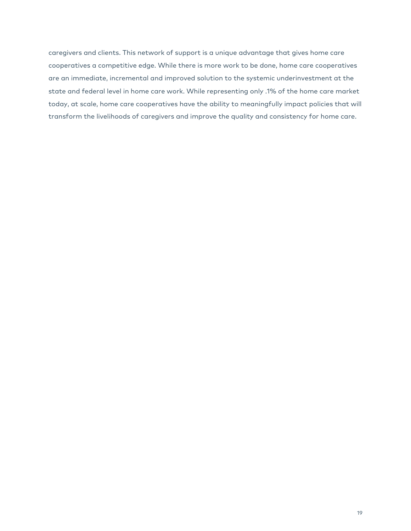caregivers and clients. This network of support is a unique advantage that gives home care cooperatives a competitive edge. While there is more work to be done, home care cooperatives are an immediate, incremental and improved solution to the systemic underinvestment at the state and federal level in home care work. While representing only .1% of the home care market today, at scale, home care cooperatives have the ability to meaningfully impact policies that will transform the livelihoods of caregivers and improve the quality and consistency for home care.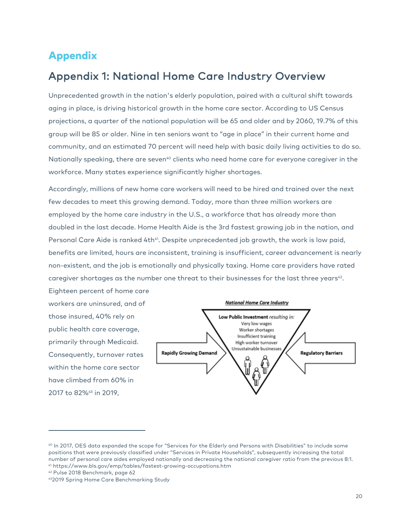#### Appendix

### Appendix 1: National Home Care Industry Overview

Unprecedented growth in the nation's elderly population, paired with a cultural shift towards aging in place, is driving historical growth in the home care sector. According to US Census projections, a quarter of the national population will be 65 and older and by 2060, 19.7% of this group will be 85 or older. Nine in ten seniors want to "age in place" in their current home and community, and an estimated 70 percent will need help with basic daily living activities to do so. Nationally speaking, there are seven<sup>40</sup> clients who need home care for everyone caregiver in the workforce. Many states experience significantly higher shortages.

Accordingly, millions of new home care workers will need to be hired and trained over the next few decades to meet this growing demand. Today, more than three million workers are employed by the home care industry in the U.S., a workforce that has already more than doubled in the last decade. Home Health Aide is the 3rd fastest growing job in the nation, and Personal Care Aide is ranked 4th<sup>41</sup>. Despite unprecedented job growth, the work is low paid, benefits are limited, hours are inconsistent, training is insufficient, career advancement is nearly non-existent, and the job is emotionally and physically taxing. Home care providers have rated caregiver shortages as the number one threat to their businesses for the last three years<sup>42</sup>.

Eighteen percent of home care workers are uninsured, and of those insured, 40% rely on public health care coverage, primarily through Medicaid. Consequently, turnover rates within the home care sector have climbed from 60% in 2017 to 82%<sup>43</sup> in 2019,



<sup>40</sup> In 2017, OES data expanded the scope for "Services for the Elderly and Persons with Disabilities" to include some positions that were previously classified under "Services in Private Households", subsequently increasing the total number of personal care aides employed nationally and decreasing the national caregiver ratio from the previous 8:1. 41 https://www.bls.gov/emp/tables/fastest-growing-occupations.htm

<sup>42</sup> Pulse 2018 Benchmark, page 62

<sup>432019</sup> Spring Home Care Benchmarking Study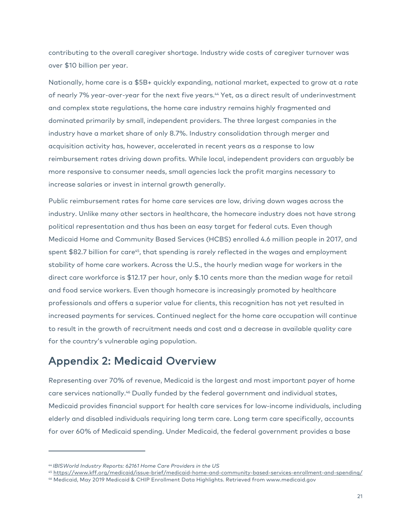contributing to the overall caregiver shortage. Industry wide costs of caregiver turnover was over \$10 billion per year.

Nationally, home care is a \$5B+ quickly expanding, national market, expected to grow at a rate of nearly 7% year-over-year for the next five years.44 Yet, as a direct result of underinvestment and complex state regulations, the home care industry remains highly fragmented and dominated primarily by small, independent providers. The three largest companies in the industry have a market share of only 8.7%. Industry consolidation through merger and acquisition activity has, however, accelerated in recent years as a response to low reimbursement rates driving down profits. While local, independent providers can arguably be more responsive to consumer needs, small agencies lack the profit margins necessary to increase salaries or invest in internal growth generally.

Public reimbursement rates for home care services are low, driving down wages across the industry. Unlike many other sectors in healthcare, the homecare industry does not have strong political representation and thus has been an easy target for federal cuts. Even though Medicaid Home and Community Based Services (HCBS) enrolled 4.6 million people in 2017, and spent \$82.7 billion for care<sup>45</sup>, that spending is rarely reflected in the wages and employment stability of home care workers. Across the U.S., the hourly median wage for workers in the direct care workforce is \$12.17 per hour, only \$.10 cents more than the median wage for retail and food service workers. Even though homecare is increasingly promoted by healthcare professionals and offers a superior value for clients, this recognition has not yet resulted in increased payments for services. Continued neglect for the home care occupation will continue to result in the growth of recruitment needs and cost and a decrease in available quality care for the country's vulnerable aging population.

## Appendix 2: Medicaid Overview

Representing over 70% of revenue, Medicaid is the largest and most important payer of home care services nationally. <sup>46</sup> Dually funded by the federal government and individual states, Medicaid provides financial support for health care services for low-income individuals, including elderly and disabled individuals requiring long term care. Long term care specifically, accounts for over 60% of Medicaid spending. Under Medicaid, the federal government provides a base

<sup>44</sup> *IBISWorld Industry Reports: 62161 Home Care Providers in the US*

<sup>45</sup> https://www.kff.org/medicaid/issue-brief/medicaid-home-and-community-based-services-enrollment-and-spending/

<sup>46</sup> Medicaid, May 2019 Medicaid & CHIP Enrollment Data Highlights. Retrieved from www.medicaid.gov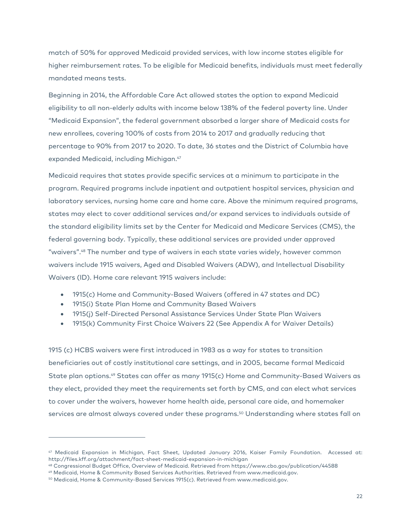match of 50% for approved Medicaid provided services, with low income states eligible for higher reimbursement rates. To be eligible for Medicaid benefits, individuals must meet federally mandated means tests.

Beginning in 2014, the Affordable Care Act allowed states the option to expand Medicaid eligibility to all non-elderly adults with income below 138% of the federal poverty line. Under "Medicaid Expansion", the federal government absorbed a larger share of Medicaid costs for new enrollees, covering 100% of costs from 2014 to 2017 and gradually reducing that percentage to 90% from 2017 to 2020. To date, 36 states and the District of Columbia have expanded Medicaid, including Michigan. 47

Medicaid requires that states provide specific services at a minimum to participate in the program. Required programs include inpatient and outpatient hospital services, physician and laboratory services, nursing home care and home care. Above the minimum required programs, states may elect to cover additional services and/or expand services to individuals outside of the standard eligibility limits set by the Center for Medicaid and Medicare Services (CMS), the federal governing body. Typically, these additional services are provided under approved "waivers".48 The number and type of waivers in each state varies widely, however common waivers include 1915 waivers, Aged and Disabled Waivers (ADW), and Intellectual Disability Waivers (ID). Home care relevant 1915 waivers include:

- 1915(c) Home and Community-Based Waivers (offered in 47 states and DC)
- 1915(i) State Plan Home and Community Based Waivers
- 1915(j) Self-Directed Personal Assistance Services Under State Plan Waivers
- 1915(k) Community First Choice Waivers 22 (See Appendix A for Waiver Details)

1915 (c) HCBS waivers were first introduced in 1983 as a way for states to transition beneficiaries out of costly institutional care settings, and in 2005, became formal Medicaid State plan options.49 States can offer as many 1915(c) Home and Community-Based Waivers as they elect, provided they meet the requirements set forth by CMS, and can elect what services to cover under the waivers, however home health aide, personal care aide, and homemaker services are almost always covered under these programs.<sup>50</sup> Understanding where states fall on

<sup>47</sup> Medicaid Expansion in Michigan, Fact Sheet, Updated January 2016, Kaiser Family Foundation. Accessed at: http://files.kff.org/attachment/fact-sheet-medicaid-expansion-in-michigan

<sup>48</sup> Congressional Budget Office, Overview of Medicaid. Retrieved from https://www.cbo.gov/publication/44588

<sup>49</sup> Medicaid, Home & Community Based Services Authorities. Retrieved from www.medicaid.gov.

<sup>&</sup>lt;sup>50</sup> Medicaid, Home & Community-Based Services 1915(c). Retrieved from www.medicaid.gov.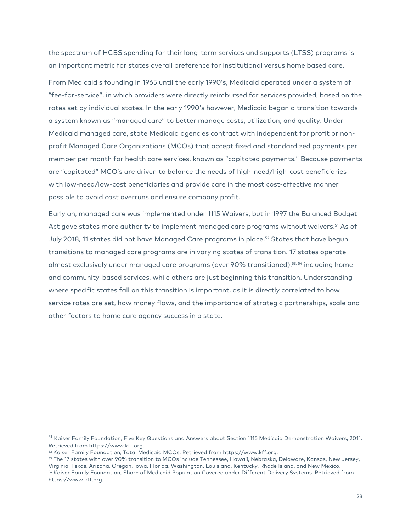the spectrum of HCBS spending for their long-term services and supports (LTSS) programs is an important metric for states overall preference for institutional versus home based care.

From Medicaid's founding in 1965 until the early 1990's, Medicaid operated under a system of "fee-for-service", in which providers were directly reimbursed for services provided, based on the rates set by individual states. In the early 1990's however, Medicaid began a transition towards a system known as "managed care" to better manage costs, utilization, and quality. Under Medicaid managed care, state Medicaid agencies contract with independent for profit or nonprofit Managed Care Organizations (MCOs) that accept fixed and standardized payments per member per month for health care services, known as "capitated payments." Because payments are "capitated" MCO's are driven to balance the needs of high-need/high-cost beneficiaries with low-need/low-cost beneficiaries and provide care in the most cost-effective manner possible to avoid cost overruns and ensure company profit.

Early on, managed care was implemented under 1115 Waivers, but in 1997 the Balanced Budget Act gave states more authority to implement managed care programs without waivers.<sup>51</sup> As of July 2018, 11 states did not have Managed Care programs in place.<sup>52</sup> States that have begun transitions to managed care programs are in varying states of transition. 17 states operate almost exclusively under managed care programs (over 90% transitioned),53, <sup>54</sup> including home and community-based services, while others are just beginning this transition. Understanding where specific states fall on this transition is important, as it is directly correlated to how service rates are set, how money flows, and the importance of strategic partnerships, scale and other factors to home care agency success in a state.

<sup>&</sup>lt;sup>51</sup> Kaiser Family Foundation, Five Key Questions and Answers about Section 1115 Medicaid Demonstration Waivers, 2011. Retrieved from https://www.kff.org.

<sup>52</sup> Kaiser Family Foundation, Total Medicaid MCOs. Retrieved from https://www.kff.org.

<sup>53</sup> The 17 states with over 90% transition to MCOs include Tennessee, Hawaii, Nebraska, Delaware, Kansas, New Jersey, Virginia, Texas, Arizona, Oregon, Iowa, Florida, Washington, Louisiana, Kentucky, Rhode Island, and New Mexico. <sup>54</sup> Kaiser Family Foundation, Share of Medicaid Population Covered under Different Delivery Systems. Retrieved from https://www.kff.org.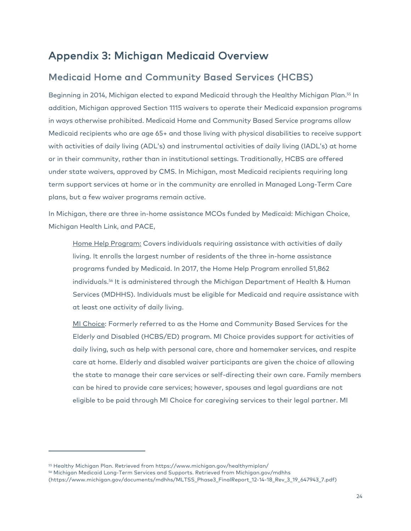### Appendix 3: Michigan Medicaid Overview

#### Medicaid Home and Community Based Services (HCBS)

Beginning in 2014, Michigan elected to expand Medicaid through the Healthy Michigan Plan.<sup>55</sup> In addition, Michigan approved Section 1115 waivers to operate their Medicaid expansion programs in ways otherwise prohibited. Medicaid Home and Community Based Service programs allow Medicaid recipients who are age 65+ and those living with physical disabilities to receive support with activities of daily living (ADL's) and instrumental activities of daily living (IADL's) at home or in their community, rather than in institutional settings. Traditionally, HCBS are offered under state waivers, approved by CMS. In Michigan, most Medicaid recipients requiring long term support services at home or in the community are enrolled in Managed Long-Term Care plans, but a few waiver programs remain active.

In Michigan, there are three in-home assistance MCOs funded by Medicaid: Michigan Choice, Michigan Health Link, and PACE,

Home Help Program: Covers individuals requiring assistance with activities of daily living. It enrolls the largest number of residents of the three in-home assistance programs funded by Medicaid. In 2017, the Home Help Program enrolled 51,862 individuals.56 It is administered through the Michigan Department of Health & Human Services (MDHHS). Individuals must be eligible for Medicaid and require assistance with at least one activity of daily living.

MI Choice: Formerly referred to as the Home and Community Based Services for the Elderly and Disabled (HCBS/ED) program. MI Choice provides support for activities of daily living, such as help with personal care, chore and homemaker services, and respite care at home. Elderly and disabled waiver participants are given the choice of allowing the state to manage their care services or self-directing their own care. Family members can be hired to provide care services; however, spouses and legal guardians are not eligible to be paid through MI Choice for caregiving services to their legal partner. MI

<sup>55</sup> Healthy Michigan Plan. Retrieved from https://www.michigan.gov/healthymiplan/

<sup>56</sup> Michigan Medicaid Long-Term Services and Supports. Retrieved from Michigan.gov/mdhhs

<sup>(</sup>https://www.michigan.gov/documents/mdhhs/MLTSS\_Phase3\_FinalReport\_12-14-18\_Rev\_3\_19\_647943\_7.pdf)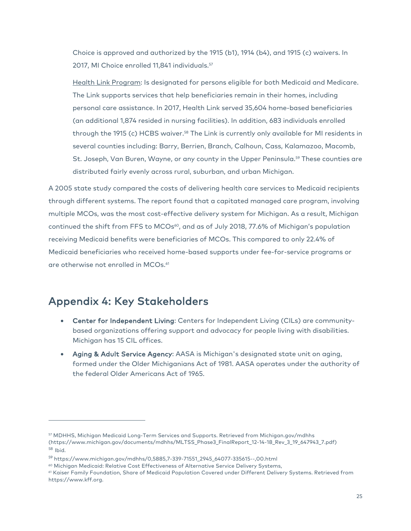Choice is approved and authorized by the 1915 (b1), 1914 (b4), and 1915 (c) waivers. In 2017, MI Choice enrolled 11,841 individuals.<sup>57</sup>

Health Link Program: Is designated for persons eligible for both Medicaid and Medicare. The Link supports services that help beneficiaries remain in their homes, including personal care assistance. In 2017, Health Link served 35,604 home-based beneficiaries (an additional 1,874 resided in nursing facilities). In addition, 683 individuals enrolled through the 1915 (c) HCBS waiver.<sup>58</sup> The Link is currently only available for MI residents in several counties including: Barry, Berrien, Branch, Calhoun, Cass, Kalamazoo, Macomb, St. Joseph, Van Buren, Wayne, or any county in the Upper Peninsula.<sup>59</sup> These counties are distributed fairly evenly across rural, suburban, and urban Michigan.

A 2005 state study compared the costs of delivering health care services to Medicaid recipients through different systems. The report found that a capitated managed care program, involving multiple MCOs, was the most cost-effective delivery system for Michigan. As a result, Michigan continued the shift from FFS to MCOs<sup>60</sup>, and as of July 2018, 77.6% of Michigan's population receiving Medicaid benefits were beneficiaries of MCOs. This compared to only 22.4% of Medicaid beneficiaries who received home-based supports under fee-for-service programs or are otherwise not enrolled in MCOs.<sup>61</sup>

#### Appendix 4: Key Stakeholders

- Center for Independent Living: Centers for Independent Living (CILs) are communitybased organizations offering support and advocacy for people living with disabilities. Michigan has 15 CIL offices.
- Aging & Adult Service Agency: AASA is Michigan's designated state unit on aging, formed under the Older Michiganians Act of 1981. AASA operates under the authority of the federal Older Americans Act of 1965.

<sup>57</sup> MDHHS, Michigan Medicaid Long-Term Services and Supports. Retrieved from Michigan.gov/mdhhs (https://www.michigan.gov/documents/mdhhs/MLTSS\_Phase3\_FinalReport\_12-14-18\_Rev\_3\_19\_647943\_7.pdf) <sup>58</sup> Ibid.

<sup>59</sup> https://www.michigan.gov/mdhhs/0,5885,7-339-71551\_2945\_64077-335615--,00.html

<sup>60</sup> Michigan Medicaid: Relative Cost Effectiveness of Alternative Service Delivery Systems,<br>61 Kaiser Family Foundation, Share of Medicaid Population Covered under Different Delivery Systems. Retrieved from https://www.kff.org.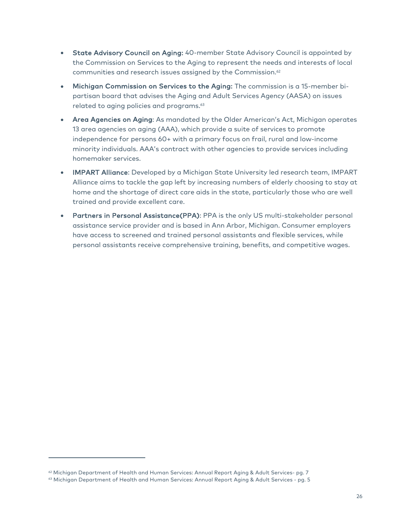- State Advisory Council on Aging: 40-member State Advisory Council is appointed by the Commission on Services to the Aging to represent the needs and interests of local communities and research issues assigned by the Commission.<sup>62</sup>
- Michigan Commission on Services to the Aging: The commission is a 15-member bipartisan board that advises the Aging and Adult Services Agency (AASA) on issues related to aging policies and programs. 63
- Area Agencies on Aging: As mandated by the Older American's Act, Michigan operates 13 area agencies on aging (AAA), which provide a suite of services to promote independence for persons 60+ with a primary focus on frail, rural and low-income minority individuals. AAA's contract with other agencies to provide services including homemaker services.
- IMPART Alliance: Developed by a Michigan State University led research team, IMPART Alliance aims to tackle the gap left by increasing numbers of elderly choosing to stay at home and the shortage of direct care aids in the state, particularly those who are well trained and provide excellent care.
- Partners in Personal Assistance(PPA): PPA is the only US multi-stakeholder personal assistance service provider and is based in Ann Arbor, Michigan. Consumer employers have access to screened and trained personal assistants and flexible services, while personal assistants receive comprehensive training, benefits, and competitive wages.

<sup>62</sup> Michigan Department of Health and Human Services: Annual Report Aging & Adult Services- pg. 7

<sup>&</sup>lt;sup>63</sup> Michigan Department of Health and Human Services: Annual Report Aging & Adult Services - pg. 5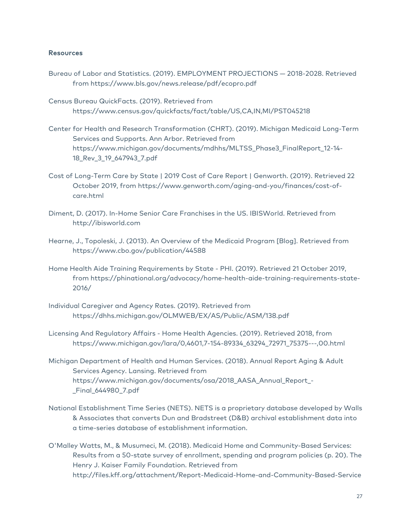#### **Resources**

- Bureau of Labor and Statistics. (2019). EMPLOYMENT PROJECTIONS 2018-2028. Retrieved from https://www.bls.gov/news.release/pdf/ecopro.pdf
- Census Bureau QuickFacts. (2019). Retrieved from https://www.census.gov/quickfacts/fact/table/US,CA,IN,MI/PST045218
- Center for Health and Research Transformation (CHRT). (2019). Michigan Medicaid Long-Term Services and Supports. Ann Arbor. Retrieved from https://www.michigan.gov/documents/mdhhs/MLTSS\_Phase3\_FinalReport\_12-14- 18\_Rev\_3\_19\_647943\_7.pdf
- Cost of Long-Term Care by State | 2019 Cost of Care Report | Genworth. (2019). Retrieved 22 October 2019, from https://www.genworth.com/aging-and-you/finances/cost-ofcare.html
- Diment, D. (2017). In-Home Senior Care Franchises in the US. IBISWorld. Retrieved from http://ibisworld.com
- Hearne, J., Topoleski, J. (2013). An Overview of the Medicaid Program [Blog]. Retrieved from https://www.cbo.gov/publication/44588
- Home Health Aide Training Requirements by State PHI. (2019). Retrieved 21 October 2019, from https://phinational.org/advocacy/home-health-aide-training-requirements-state-2016/
- Individual Caregiver and Agency Rates. (2019). Retrieved from https://dhhs.michigan.gov/OLMWEB/EX/AS/Public/ASM/138.pdf
- Licensing And Regulatory Affairs Home Health Agencies. (2019). Retrieved 2018, from https://www.michigan.gov/lara/0,4601,7-154-89334\_63294\_72971\_75375---,00.html
- Michigan Department of Health and Human Services. (2018). Annual Report Aging & Adult Services Agency. Lansing. Retrieved from https://www.michigan.gov/documents/osa/2018\_AASA\_Annual\_Report\_- \_Final\_644980\_7.pdf
- National Establishment Time Series (NETS). NETS is a proprietary database developed by Walls & Associates that converts Dun and Bradstreet (D&B) archival establishment data into a time-series database of establishment information.
- O'Malley Watts, M., & Musumeci, M. (2018). Medicaid Home and Community-Based Services: Results from a 50-state survey of enrollment, spending and program policies (p. 20). The Henry J. Kaiser Family Foundation. Retrieved from http://files.kff.org/attachment/Report-Medicaid-Home-and-Community-Based-Service